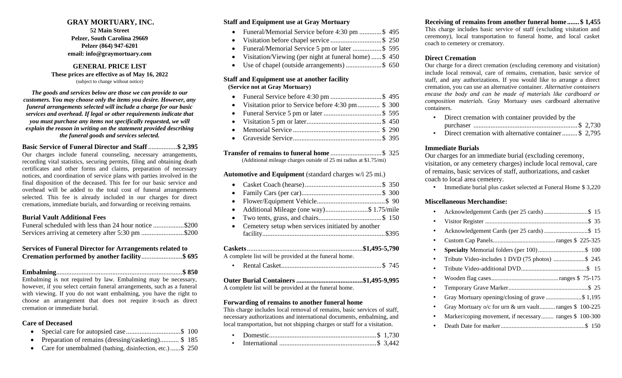#### **GRAY MORTUARY, INC.**

**52 Main Street Pelzer, South Carolina 29669 Pelzer (864) 947-6201 email: info@graymortuary.com**

#### **GENERAL PRICE LIST These prices are effective as of May 16, 2022**

(subject to change without notice)

*The goods and services below are those we can provide to our customers. You may choose only the items you desire. However, any funeral arrangements selected will include a charge for our basic services and overhead. If legal or other requirements indicate that you must purchase any items not specifically requested, we will explain the reason in writing on the statement provided describing the funeral goods and services selected.*

#### **Basic Service of Funeral Director and Staff**.................**\$ 2,395**

Our charges include funeral counseling, necessary arrangements, recording vital statistics, securing permits, filing and obtaining death certificates and other forms and claims, preparation of necessary notices, and coordination of service plans with parties involved in the final disposition of the deceased. This fee for our basic service and overhead will be added to the total cost of funeral arrangements selected. This fee is already included in our charges for direct cremations, immediate burials, and forwarding or receiving remains.

#### **Burial Vault Additional Fees**

| Funeral scheduled with less than 24 hour notice \$200 |  |
|-------------------------------------------------------|--|
| Services arriving at cemetery after 5:30 pm \$200     |  |

#### **Services of Funeral Director for Arrangements related to Cremation performed by another facility**........................**\$ 695**

|--|--|--|--|--|--|

Embalming is not required by law. Embalming may be necessary, however, if you select certain funeral arrangements, such as a funeral with viewing. If you do not want embalming, you have the right to choose an arrangement that does not require it-such as direct cremation or immediate burial.

#### **Care of Deceased**

- Special care for autopsied case................................\$ 100
- Preparation of remains (dressing/casketing)........... \$185
- Care for unembalmed (bathing, disinfection, etc.)......\$ 250

#### **Staff and Equipment use at Gray Mortuary**

- Funeral/Memorial Service before 4:30 pm .............\$ 495
- Visitation before chapel service ..............................\$ 250
- Funeral/Memorial Service 5 pm or later .................\$ 595
- Visitation/Viewing (per night at funeral home) ......\$ 450
- Use of chapel (outside arrangements) ......................\$ 650

#### **Staff and Equipment use at another facility (Service not at Gray Mortuary)**

- Funeral Service before 4:30 pm ..............................\$ 495
- Visitation prior to Service before 4:30 pm............. \$ 300
- Funeral Service 5 pm or later ..................................\$ 595
- Visitation 5 pm or later............................................\$ 450 • Memorial Service ................................................... \$ 290
- Graveside Service....................................................\$ 395
- 

**Transfer of remains to funeral home** ..............................\$ 325

(Additional mileage charges outside of 25 mi radius at \$1.75/mi)

#### **Automotive and Equipment** (standard charges w/i 25 mi.)

- Casket Coach (hearse).............................................\$ 350 • Family Cars (per car)...............................................\$ 300
- Flower/Equipment Vehicle........................................\$ 90
- Additional Mileage (one way).........................\$ 1.75/mile
- Two tents, grass, and chairs.....................................\$ 150
- Cemetery setup when services initiated by another facility........................................................................\$395

**Caskets**....................................................................**\$1,495-5,790** A complete list will be provided at the funeral home.

• Rental Casket...........................................................\$ 745

| A complete list will be provided at the funeral home. |  |
|-------------------------------------------------------|--|

#### **Forwarding of remains to another funeral home**

This charge includes local removal of remains, basic services of staff, necessary authorizations and international documents, embalming, and local transportation, but not shipping charges or staff for a visitation.

- Domestic...............................................................\$ 1,730
- International .........................................................\$ 3,442

#### **Receiving of remains from another funeral home ....... \$ 1,455**

This charge includes basic service of staff (excluding visitation and ceremony), local transportation to funeral home, and local casket coach to cemetery or crematory.

#### **Direct Cremation**

Our charge for a direct cremation (excluding ceremony and visitation) include local removal, care of remains, cremation, basic service of staff, and any authorizations. If you would like to arrange a direct cremation, you can use an alternative container. *Alternative containers encase the body and can be made of materials like cardboard or composition materials.* Gray Mortuary uses cardboard alternative containers.

| Direct cremation with container provided by the            |  |
|------------------------------------------------------------|--|
|                                                            |  |
| Direct orientian with elternative container $\phi$ $2.705$ |  |

• Direct cremation with alternative container......... \$ 2,795

#### **Immediate Burials**

Our charges for an immediate burial (excluding ceremony, visitation, or any cemetery charges) include local removal, care of remains, basic services of staff, authorizations, and casket coach to local area cemetery.

• Immediate burial plus casket selected at Funeral Home \$ 3,220

#### **Miscellaneous Merchandise:**

| Tribute Video-includes 1 DVD (75 photos) \$ 245        |
|--------------------------------------------------------|
|                                                        |
|                                                        |
|                                                        |
| Gray Mortuary opening/closing of grave \$ 1,195        |
| Gray Mortuary o/c for urn & urn vault ranges \$100-225 |
| Marker/coping movement, if necessary ranges \$ 100-300 |
|                                                        |